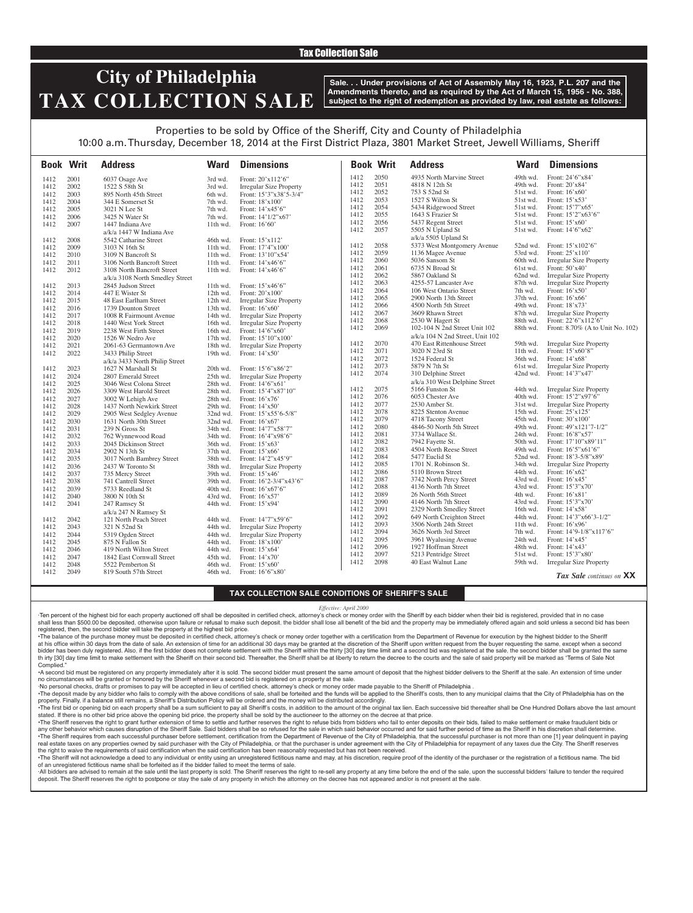### Tax Collection Sale

# **City of Philadelphia TAX COLLECTION SALE**

**Sale. . . Under provisions of Act of Assembly May 16, 1923, P.L. 207 and the Amendments thereto, and as required by the Act of March 15, 1956 - No. 388, subject to the right of redemption as provided by law, real estate as follows:**

## Properties to be sold by Office of the Sheriff, City and County of Philadelphia

10:00 a.m. Thursday, December 18, 2014 at the First District Plaza, 3801 Market Street, Jewell Williams, Sheriff

|      | <b>Book Writ</b> | <b>Address</b>                  | <b>Ward</b> | <b>Dimensions</b>              |              | <b>Book Writ</b> | <b>Address</b>                                          | <b>Ward</b>          | <b>Dimensions</b>                           |
|------|------------------|---------------------------------|-------------|--------------------------------|--------------|------------------|---------------------------------------------------------|----------------------|---------------------------------------------|
| 1412 | 2001             | 6037 Osage Ave                  | 3rd wd.     | Front: 20'x112'6"              | 1412         | 2050             | 4935 North Marvine Street                               | 49th wd.             | Front: 24'6"x84'                            |
| 1412 | 2002             | 1522 S 58th St                  | 3rd wd.     | <b>Irregular Size Property</b> | 1412         | 2051             | 4818 N 12th St                                          | 49th wd.             | Front: 20'x84'                              |
| 1412 | 2003             | 895 North 45th Street           | 6th wd.     | Front: 15'3"x38'5-3/4"         | 1412         | 2052             | 753 S 52nd St                                           | 51st wd.             | Front: $16'x60'$                            |
| 1412 | 2004             | 344 E Somerset St               | 7th wd.     | Front: 18'x100'                | 1412         | 2053             | 1527 S Wilton St                                        | 51st wd.             | Front: $15'x53'$                            |
| 1412 | 2005             | 3021 N Lee St                   | 7th wd.     | Front: 14'x45'6"               | 1412         | 2054             | 5434 Ridgewood Street                                   | 51st wd.             | Front: 15'7"x65'                            |
| 1412 | 2006             | 3425 N Water St                 | 7th wd.     | Front: $14'1/2''x67'$          | 1412         | 2055             | 1643 S Frazier St                                       | 51st wd.             | Front: 15'2"x63'6"                          |
| 1412 | 2007             | 1447 Indiana Ave                | 11th wd.    | Front: 16'60'                  | 1412         | 2056             | 5437 Regent Street                                      | 51st wd.             | Front: 15'x60'                              |
|      |                  | a/k/a 1447 W Indiana Ave        |             |                                | 1412         | 2057             | 5505 N Upland St                                        | 51st wd.             | Front: 14'6"x62'                            |
| 1412 | 2008             | 5542 Catharine Street           | 46th wd.    | Front: 15'x112'                |              |                  | a/k/a 5505 Upland St                                    |                      |                                             |
| 1412 | 2009             | 3103 N 16th St                  | $11th$ wd.  | Front: $17'4''x100'$           | 1412         | 2058             | 5373 West Montgomery Avenue                             |                      | 52nd wd. Front: 15'x102'6"                  |
| 1412 | 2010             | 3109 N Bancroft St              | 11th wd.    | Front: 13'10"x54'              | 1412         | 2059             | 1136 Magee Avenue                                       | 53rd wd.             | Front: 25'x110'                             |
| 1412 | 2011             | 3106 North Bancroft Street      | $11th$ wd.  | Front: 14'x46'6"               | 1412         | 2060             | 5036 Sansom St                                          | 60th wd.             | <b>Irregular Size Property</b>              |
| 1412 | 2012             | 3108 North Bancroft Street      | $11th$ wd.  | Front: $14'x46'6''$            | 1412         | 2061             | 6735 N Broad St                                         | 61st wd.             | Front: 50'x40'                              |
|      |                  | a/k/a 3108 North Smedley Street |             |                                | 1412         | 2062             | 5867 Oakland St                                         | 62nd wd.             | <b>Irregular Size Property</b>              |
| 1412 | 2013             | 2845 Judson Street              | 11th wd.    | Front: 15'x46'6"               | 1412         | 2063             | 4255-57 Lancaster Ave                                   | 87th wd.             | <b>Irregular Size Property</b>              |
| 1412 | 2014             | 447 E Wister St                 | $12th$ wd.  | Front: $20'x100'$              | 1412         | 2064             | 106 West Ontario Street                                 | 7th wd.              | Front: 16'x50'                              |
| 1412 | 2015             | 48 East Earlham Street          | 12th wd.    | <b>Irregular Size Property</b> | 1412         | 2065             | 2900 North 13th Street                                  | 37th wd.             | Front: 16'x66'                              |
| 1412 | 2016             | 1739 Dounton Street             | 13th wd.    | Front: 16'x60'                 | 1412         | 2066             | 4500 North 5th Street                                   | 49th wd.             | Front: 18'x73'                              |
| 1412 | 2017             | 1008 R Fairmount Avenue         | 14th wd.    | <b>Irregular Size Property</b> | 1412         | 2067             | 3609 Rhawn Street                                       | 87th wd.             | <b>Irregular Size Property</b>              |
| 1412 | 2018             | 1440 West York Street           | 16th wd.    | <b>Irregular Size Property</b> | 1412         | 2068             | 2530 W Hagert St                                        | 88th wd.             | Front: 22'6"x112'6"                         |
| 1412 | 2019             | 2238 West Firth Street          | 16th wd.    | Front: 14'6"x60"               | 1412         | 2069             | 102-104 N 2nd Street Unit 102                           | 88th wd.             | Front: 8.70% (A to Unit No. 102)            |
| 1412 | 2020             | 1526 W Nedro Ave                | $17th$ wd.  | Front: 15'10"x100"             |              |                  | a/k/a 104 N 2nd Street, Unit 102                        |                      |                                             |
| 1412 | 2021             | 2061-63 Germantown Ave          | 18th wd.    | <b>Irregular Size Property</b> | 1412         | 2070             | 470 East Rittenhouse Street                             | 59th wd.             | <b>Irregular Size Property</b>              |
| 1412 | 2022             | 3433 Philip Street              | 19th wd.    | Front: $14'x50'$               | 1412         | 2071             | 3020 N 23rd St                                          | 11th wd.             | Front: 15'x60'8"                            |
|      |                  | a/k/a 3433 North Philip Street  |             |                                | 1412         | 2072             | 1524 Federal St                                         | 36th wd.             | Front: 14'x68'                              |
| 1412 | 2023             | 1627 N Marshall St              | 20th wd.    | Front: 15'6"x86'2"             | 1412         | 2073             | 5879 N 7th St                                           | 61st wd.             | <b>Irregular Size Property</b>              |
| 1412 | 2024             | 2807 Emerald Street             | 25th wd.    | <b>Irregular Size Property</b> | 1412         | 2074             | 310 Delphine Street                                     | 42nd wd.             | Front: 14'3"x47'                            |
| 1412 | 2025             | 3046 West Colona Street         | 28th wd.    | Front: 14'6"x61                |              |                  | a/k/a 310 West Delphine Street                          |                      |                                             |
| 1412 | 2026             | 3309 West Harold Street         | 28th wd.    | Front: 15'4"x87'10"            | 1412         | 2075             | 5166 Funston St                                         | 44th wd.             | <b>Irregular Size Property</b>              |
| 1412 | 2027             | 3002 W Lehigh Ave               | 28th wd.    | Front: $16'x76'$               | 1412         | 2076             | 6053 Chester Ave                                        | 40th wd.             | Front: 15'2"x97'6"                          |
| 1412 | 2028             | 1437 North Newkirk Street       | 29th wd.    | Front: $14'x50'$               | 1412         | 2077             | 2530 Amber St.                                          | 31st wd.             | <b>Irregular Size Property</b>              |
| 1412 | 2029             | 2905 West Sedgley Avenue        |             | 32nd wd. Front: 15'x55'6-5/8"  | 1412         | 2078             | 8225 Stenton Avenue                                     | 15th wd.             | Front: 25'x125'                             |
| 1412 | 2030             | 1631 North 30th Street          |             | 32nd wd. Front: 16'x67'        | 1412         | 2079             | 4718 Tacony Street                                      | 45th wd.             | Front: 30'x100'                             |
| 1412 | 2031             | 239 N Gross St                  | 34th wd.    | Front: 14'7"x58'7"             | 1412         | 2080             | 4846-50 North 5th Street                                | 49th wd.             | Front: 49'x121'7-1/2"                       |
| 1412 | 2032             | 762 Wynnewood Road              | 34th wd.    | Front: 16'4"x98'6"             | 1412         | 2081             | 3734 Wallace St.                                        | 24th wd.             | Front: 16'8"x57'                            |
| 1412 | 2033             | 2045 Dickinson Street           | 36th wd.    | Front: 15'x63'                 | 1412         | 2082             | 7942 Fayette St.                                        | 50th wd.             | Front: 17'10"x89'11"                        |
| 1412 | 2034             | 2902 N 13th St                  | 37th wd.    | Front: $15'x66'$               | 1412         | 2083             | 4504 North Reese Street                                 | 49th wd.             | Front: $16'5''x61'6''$                      |
| 1412 | 2035             | 3017 North Bambrey Street       | 38th wd.    | Front: 14'2"x45'9"             | 1412         | 2084             | 5477 Euclid St                                          | 52nd wd.             | Front: 18'3-5/8"x89'                        |
| 1412 | 2036             | 2437 W Toronto St               | 38th wd.    | <b>Irregular Size Property</b> | 1412         | 2085             | 1701 N. Robinson St.                                    | 34th wd.             | Irregular Size Property                     |
| 1412 | 2037             | 735 Mercy Street                | 39th wd.    | Front: 15'x46'                 | 1412         | 2086             | 5110 Brown Street                                       | 44th wd.             | Front: 16'x62'                              |
| 1412 | 2038             | 741 Cantrell Street             | 39th wd.    | Front: 16'2-3/4"x43'6"         | 1412         | 2087             | 3742 North Percy Street                                 | 43rd wd.             | Front: $16'x45'$                            |
| 1412 | 2039             | 5733 Reedland St                | 40th wd.    | Front: 16'x67'6"               | 1412<br>1412 | 2088<br>2089     | 4136 North 7th Street                                   | 43rd wd.             | Front: 15'3"x70'                            |
| 1412 | 2040             | 3800 N 10th St                  | 43rd wd.    | Front: 16'x57'                 | 1412         | 2090             | 26 North 56th Street                                    | 4th wd.<br>43rd wd.  | Front: 16'x81'<br>Front: 15'3"x70'          |
| 1412 | 2041             | 247 Ramsey St                   | 44th wd.    | Front: 15'x94'                 |              | 2091             | 4146 North 7th Street                                   |                      |                                             |
|      |                  | a/k/a 247 N Ramsey St           |             |                                | 1412<br>1412 | 2092             | 2329 North Smedley Street<br>649 North Creighton Street | 16th wd.<br>44th wd. | Front: 14'x58'<br>Front: $14'3''x66'3-1/2"$ |
| 1412 | 2042             | 121 North Peach Street          | 44th wd.    | Front: 14'7"x59'6"             | 1412         | 2093             | 3506 North 24th Street                                  |                      | Front: 16'x96'                              |
| 1412 | 2043             | 321 N 52nd St                   | 44th wd.    | <b>Irregular Size Property</b> | 1412         | 2094             | 3626 North 3rd Street                                   | 11th wd.<br>7th wd.  | Front: $14'9-1/8''x117'6''$                 |
| 1412 | 2044             | 5319 Ogden Street               | 44th wd.    | <b>Irregular Size Property</b> | 1412         | 2095             | 3961 Wyalusing Avenue                                   | 24th wd.             | Front: $14'x45'$                            |
| 1412 | 2045             | 875 N Fallon St                 | 44th wd.    | Front: 18'x100'                | 1412         | 2096             | 1927 Hoffman Street                                     | 48th wd.             | Front: $14'x43'$                            |
| 1412 | 2046             | 419 North Wilton Street         | 44th wd.    | Front: 15'x64'                 | 1412         | 2097             | 5213 Pentridge Street                                   | 51st wd.             | Front: 15'3"x80'                            |
| 1412 | 2047             | 1842 East Cornwall Street       | 45th wd.    | Front: 14'x70'                 | 1412         | 2098             | 40 East Walnut Lane                                     | 59th wd.             | Irregular Size Property                     |
| 1412 | 2048             | 5522 Pemberton St               | 46th wd.    | Front: $15'x60'$               |              |                  |                                                         |                      |                                             |
| 1412 | 2049             | 819 South 57th Street           | 46th wd.    | Front: 16'6"x80"               |              |                  |                                                         |                      | <b>Tax Sale</b> continues on <b>XX</b>      |

**TAX COLLECTION SALE CONDITIONS OF SHERIFF'S SALE**

#### *Effective: April 2000*

·Ten percent of the highest bid for each property auctioned off shall be deposited in certified check, attorney's check or money order with the Sheriff by each bidder when their bid is registered, provided that in no case shall less than \$500.00 be deposited, otherwise upon failure or refusal to make such deposit, the bidder shall lose all benefit of the bid and the property may be immediately offered again and sold unless a second bid has registered, then, the second bidder will take the property at the highest bid price.

•The balance of the purchase money must be deposited in certified check, attorney's check or money order together with a certification from the Department of Revenue for execution by the highest bidder to the Sheriff at his office within 30 days from the date of sale. An extension of time for an additional 30 days may be granted at the discretion of the Sheriff upon written request from the buyer requesting the same, except when a second bidder has been duly registered. Also, if the first bidder does not complete settlement with the Sheriff within the thirty [30] day time limit and a second bid was registered at the sale, the second bidder shall be granted th irty [30] day time limit to make settlement with the Sheriff on their second bid. Thereafter, the Sheriff shall be at liberty to return the decree to the courts and the sale of said property will be marked as "Terms of Complied.

•A second bid must be registered on any property immediately after it is sold. The second bidder must present the same amount of deposit that the highest bidder delivers to the Sheriff at the sale. An extension of time under no circumstances will be granted or honored by the Sheriff whenever a second bid is registered on a property at the sale.

·No personal checks, drafts or promises to pay will be accepted in lieu of certified check, attorney's check or money order made payable to the Sheriff of Philadelphia .

-The deposit made by any bidder who fails to comply with the above conditions of sale, shall be forteited and the funds will be applied to the Sheriff's costs, then to any municipal claims that the City of Philadelphia has property. Finally, if a balance still remains, a Sheriff's Distribution Policy will be ordered and the money will be distributed accordingly.

The first bid or opening bid on each property shall be a sum sufficient to pay all Sheriff's costs, in addition to the amount of the original tax lien. Each successive bid thereafter shall be One Hundred Dollars above the stated. If there is no other bid price above the opening bid price, the property shall be sold by the auctioneer to the attorney on the decree at that price.

·The Sheriff reserves the right to grant further extension of time to settle and further reserves the right to refuse bids from bidders who fail to enter deposits on their bids, failed to make settlement or make fraudulent any other behavior which causes disruption of the Sheriff Sale. Said bidders shall be so refused for the sale in which said behavior occurred and for said further period of time as the Sheriff in his discretion shall deter •The Sheriff requires from each successful purchaser before settlement, certification from the Department of Revenue of the City of Philadelphia, that the successful purchaser is not more than one [1] year delinquent in pa real estate taxes on any properties owned by said purchaser with the City of Philadelphia, or that the purchaser is under agreement with the City of Philadelphia for repayment of any taxes due the City. The Sheriff reserve the right to waive the requirements of said certification when the said certification has been reasonably requested but has not been received.

The Sheriff will not acknowledge a deed to any individual or entity using an unregistered fictitious name and may, at his discretion, require proof of the identity of the purchaser or the registration of a fictitious name. of an unregistered fictitious name shall be forfeited as if the bidder failed to meet the terms of sale.

All bidders are advised to remain at the sale until the last property is sold. The Sheriff reserves the right to re-sell any property at any time before the end of the sale, upon the successful bidders' failure to tender t deposit. The Sheriff reserves the right to postpone or stay the sale of any property in which the attorney on the decree has not appeared and/or is not present at the sale.